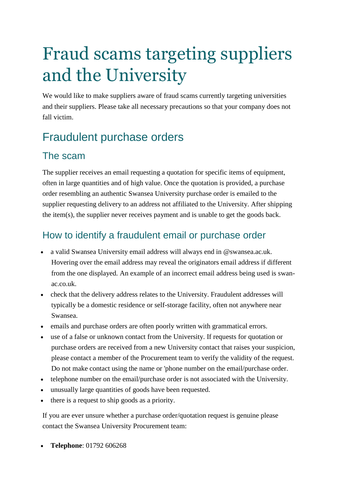# Fraud scams targeting suppliers and the University

We would like to make suppliers aware of fraud scams currently targeting universities and their suppliers. Please take all necessary precautions so that your company does not fall victim.

## Fraudulent purchase orders

#### The scam

The supplier receives an email requesting a quotation for specific items of equipment, often in large quantities and of high value. Once the quotation is provided, a purchase order resembling an authentic Swansea University purchase order is emailed to the supplier requesting delivery to an address not affiliated to the University. After shipping the item(s), the supplier never receives payment and is unable to get the goods back.

#### How to identify a fraudulent email or purchase order

- a valid Swansea University email address will always end in @swansea.ac.uk. Hovering over the email address may reveal the originators email address if different from the one displayed. An example of an incorrect email address being used is swanac.co.uk.
- check that the delivery address relates to the University. Fraudulent addresses will typically be a domestic residence or self-storage facility, often not anywhere near Swansea.
- emails and purchase orders are often poorly written with grammatical errors.
- use of a false or unknown contact from the University. If requests for quotation or purchase orders are received from a new University contact that raises your suspicion, please contact a member of the Procurement team to verify the validity of the request. Do not make contact using the name or 'phone number on the email/purchase order.
- telephone number on the email/purchase order is not associated with the University.
- unusually large quantities of goods have been requested.
- there is a request to ship goods as a priority.

If you are ever unsure whether a purchase order/quotation request is genuine please contact the Swansea University Procurement team:

**Telephone**: 01792 606268